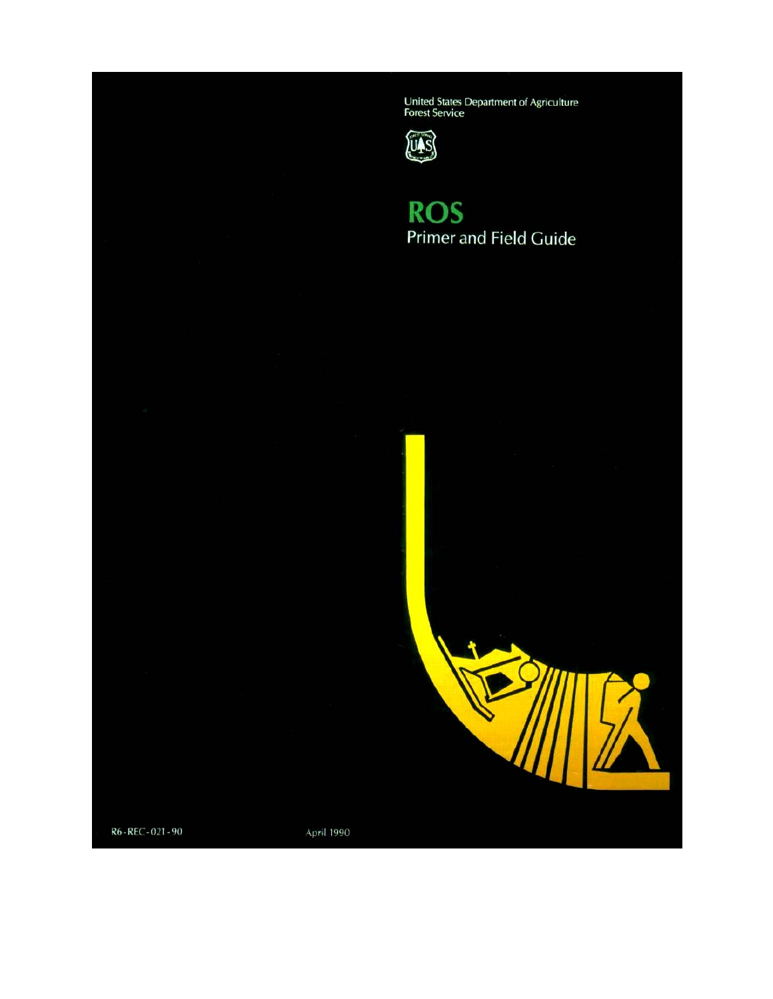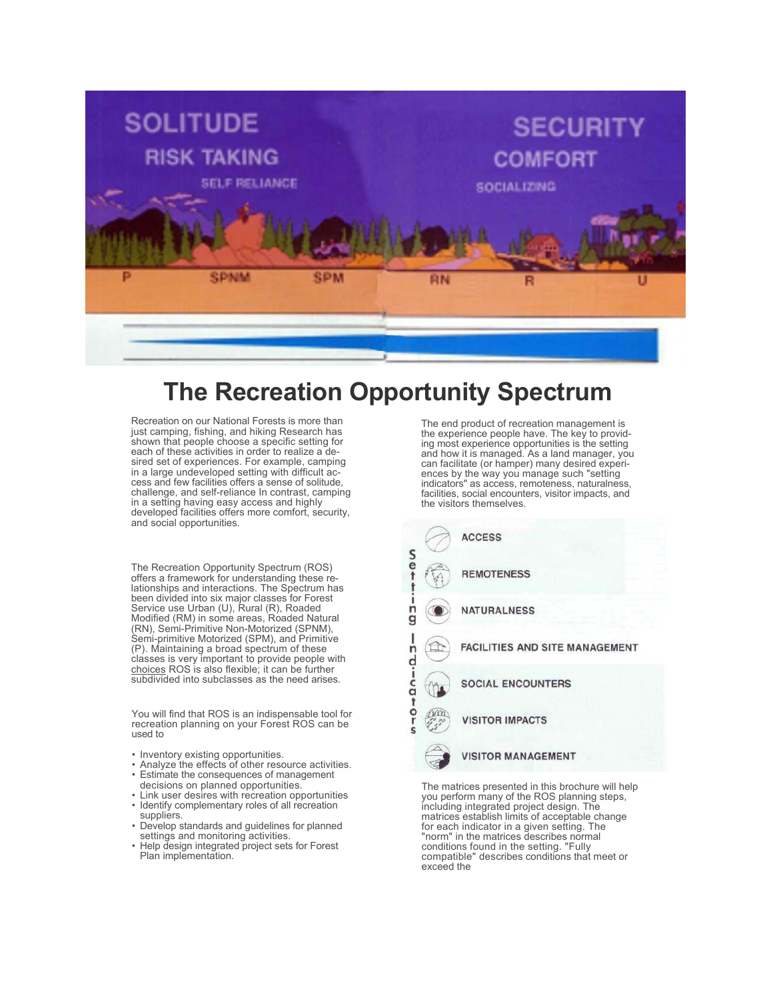

# **The Recreation Opportunity Spectrum**

Recreation on our National Forests is more than just camping, fishing, and hiking Research has shown that people choose a specific setting for each of these activities in order to realize a desired set of experiences. For example, camping in a large undeveloped setting with difficult access and few facilities offers a sense of solitude, challenge, and self-reliance In contrast, camping in a setting having easy access and highly developed facilities offers more comfort, security, and social opportunities.

The Recreation Opportunity Spectrum (ROS) offers a framework for understanding these relationships and interactions. The Spectrum has been divided into six major classes for Forest Service use Urban (U), Rural (R), Roaded Modified (RM) in some areas, Roaded Natural (RN), Semi-Primitive Non-Motorized (SPNM), Semi-primitive Motorized (SPM), and Primitive (P). Maintaining a broad spectrum of these classes is very important to provide people with choices ROS is also flexible; it can be further subdivided into subclasses as the need arises.

You will find that ROS is an indispensable tool for recreation planning on your Forest ROS can be used to

- Inventory existing opportunities.
- Analyze the effects of other resource activities. • Estimate the consequences of management
- decisions on planned opportunities.
- Link user desires with recreation opportunities • Identify complementary roles of all recreation
- suppliers. • Develop standards and guidelines for planned settings and monitoring activities.
- Help design integrated project sets for Forest Plan implementation.

The end product of recreation management is the experience people have. The key to providing most experience opportunities is the setting and how it is managed. As a land manager, you can facilitate (or hamper) many desired experi- ences by the way you manage such "setting indicators" as access, remoteness, naturalness, facilities, social encounters, visitor impacts, and the visitors themselves.



The matrices presented in this brochure will help you perform many of the ROS planning steps, including integrated project design. The matrices establish limits of acceptable change<br>for each indicator in a given setting. The "norm" in the matrices describes normal<br>conditions found in the setting. "Fully connatible" describes conditions that meet or exceed the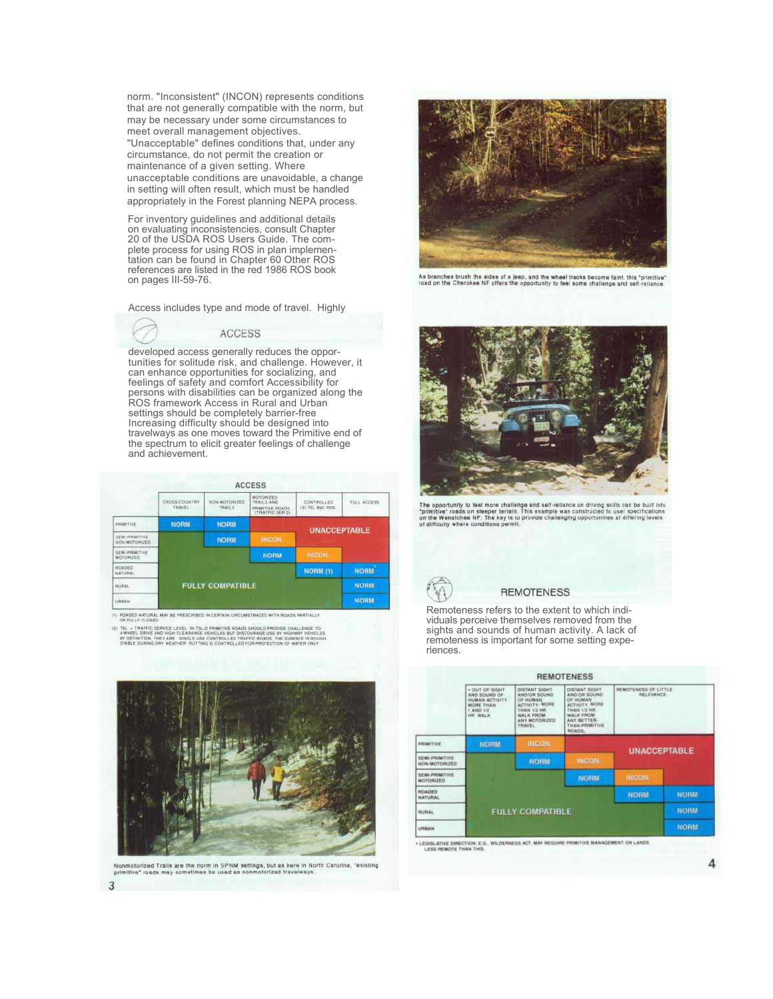norm. "Inconsistent" (INCON) represents conditions that are not generally compatible with the norm, but may be necessary under some circumstances to meet overall management objectives. "Unacceptable" defines conditions that, under any circumstance, do not permit the creation or maintenance of a given setting. Where unacceptable conditions are unavoidable, a change in setting will often result, which must be handled appropriately in the Forest planning NEPA process.

For inventory guidelines and additional details on evaluating inconsistencies, consult Chapter 20 of the USDA ROS Users Guide. The complete process for using ROS in plan implementation can be found in Chapter 60 Other ROS references are listed in the red 1986 ROS book on pages III-59-76.

Access includes type and mode of travel. Highly

**ACCESS** 

developed access generally reduces the opportunities for solitude risk, and challenge. However, it can enhance opportunities for socializing, and feelings of safety and comfort Accessibility for persons with disabilities can be organized along the ROS framework Access in Rural and Urban settings should be completely barrier-free Increasing difficulty should be designed into travelways as one moves toward the Primitive end of the spectrum to elicit greater feelings of challenge and achievement.

|                                     |                           |                              | <b>ACCESS</b>                        |                     |             |  |
|-------------------------------------|---------------------------|------------------------------|--------------------------------------|---------------------|-------------|--|
|                                     | CROSS-COUNTRY<br>· 主旨AVEL | N MOTORIZED<br><b>TRAILS</b> | FULL ACCESS<br><b>Divide Section</b> |                     |             |  |
| PRIMITIVE                           | <b>NORM</b>               | <b>NORM</b>                  |                                      |                     |             |  |
| SEMI-PRIMITIVE<br>NON-MOTORIZED     |                           | <b>NORM</b>                  | <b>INCON</b>                         | <b>UNACCEPTABLE</b> |             |  |
| SEMI PRIMITIVE<br><b>MOTORIZED:</b> |                           |                              | <b>NORM</b>                          | <b>INCON</b>        |             |  |
| ROADED<br>NATURAL.                  |                           |                              |                                      | NORM (1)            | <b>NORM</b> |  |
| <b>RURAL</b>                        | <b>FULLY COMPATIBLE</b>   |                              |                                      |                     | <b>NORM</b> |  |
| <b>URBAN</b>                        |                           |                              |                                      |                     | <b>NORM</b> |  |

ROADED NATURAL MAY BE PRESCRIBED IN CERTAIN CIRCL<br>OR FULLY CLOSED

SL = TRAFFIC SER



.<br>rized Tralls are the norm in SPNM settings, but as here in North Carolina, "existing"<br>\* roads may sometimes be used as nonmotorized travelwitys.



As branches brush the sides of a jeep, and the wheel tracks become faint, this "primitive"<br>road on the Cherokee NF offers the opportunity to feel some challenge and self-reliance.



The opportunity to feel more challenge and self-reliance on driving skills can be built into<br>"primitive" roads on steeper terrain. This example was constructed to user specifications<br>on the Wenatchee NF, The key is to prov



#### **REMOTENESS**

Remoteness refers to the extent to which individuals perceive themselves removed from the sights and sounds of human activity. A lack of remoteness is important for some setting experiences.

|                                        |                                                                                                      |                                                                                                                       | <b>REMOTENESS</b>                                                                                                                                             |                                                 |             |
|----------------------------------------|------------------------------------------------------------------------------------------------------|-----------------------------------------------------------------------------------------------------------------------|---------------------------------------------------------------------------------------------------------------------------------------------------------------|-------------------------------------------------|-------------|
|                                        | - OUT OF SIGHT<br>AND SOUND OF<br><b>HUMAN ACTIVITY</b><br>MORE THAN<br>1 AND 1/2<br><b>HIR WALK</b> | DISTANT SIGHT<br>AND/OR SOUND<br>OF HUMAN<br><b>ACTIVITY MORE</b><br>THAN 1/2 HR<br><b>WALK FROM</b><br>ANY MOTORIZED | <b><i>OISTANT SIGHT</i></b><br>AND/OR SOUND<br>OF HUMAN<br><b>ACTIVITY MORE</b><br><b>FHAN 1/2 HR</b><br>WALK FROM<br>ANY BETTER-<br>THAN PRIMITIVE<br>ROADS. | REMOTENESS OF LITTLE<br><b><i>RELEVANCE</i></b> |             |
| <b>FRIMITIVE</b>                       | <b>NORM</b>                                                                                          | <b>INCON</b>                                                                                                          |                                                                                                                                                               | <b>UNACCEPTABLE</b>                             |             |
| <b>SEMI-PRIMITIVE</b><br>NON-MOTORIZED |                                                                                                      | NORM                                                                                                                  | INCON.                                                                                                                                                        |                                                 |             |
| <b>SEMI-PRIMITIVE</b><br>MOTORIZED.    |                                                                                                      |                                                                                                                       | NORM                                                                                                                                                          | <b>INCON.</b>                                   |             |
| ROADED<br><b>NATURAL</b>               |                                                                                                      |                                                                                                                       |                                                                                                                                                               | <b>NORM</b>                                     | <b>NORM</b> |
| <b>RURAL</b>                           | FULLY COMPATIBLE                                                                                     | <b>NDRM</b>                                                                                                           |                                                                                                                                                               |                                                 |             |
| URBAN                                  |                                                                                                      |                                                                                                                       |                                                                                                                                                               |                                                 | <b>NORM</b> |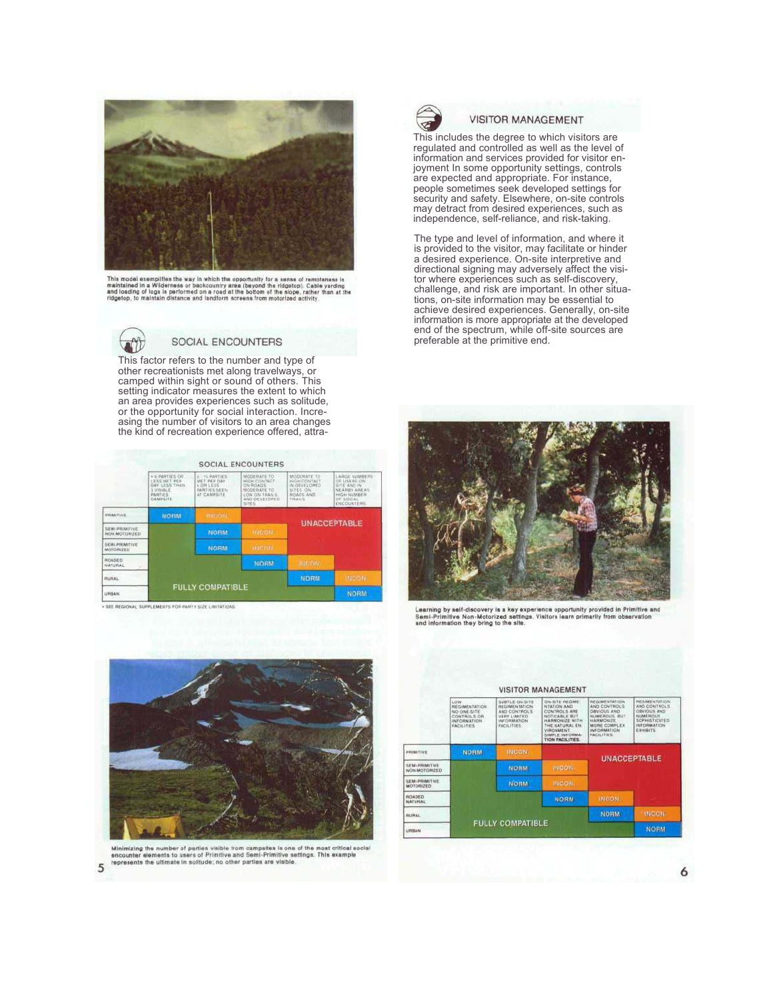

This model exemplifies the way in which the opportunity for a sense of remoteness is<br>maintained in a Wilderness or backcountry area (beyond the ridgetop); Cable yarding<br>and loading of logs in performed on a road at the bot



### SOCIAL ENCOUNTERS

This factor refers to the number and type of other recreationists met along travelways, or camped within sight or sound of others. This setting indicator measures the extent to which an area provides experiences such as solitude, or the opportunity for social interaction. Increasing the number of visitors to an area changes the kind of recreation experience offered, attra-

|                                           |                                                                                                   |                                                                           | <b>SOCIAL ENCOUNTERS</b>                                                                            |                                                                                |                                                                                                                              |  |
|-------------------------------------------|---------------------------------------------------------------------------------------------------|---------------------------------------------------------------------------|-----------------------------------------------------------------------------------------------------|--------------------------------------------------------------------------------|------------------------------------------------------------------------------------------------------------------------------|--|
|                                           | · 5 FARTIES OR<br><b>LESS MET PER</b><br>OAY LESS THAN<br>3 VISIBLE<br><b>PARTIES</b><br>CAMPECTE | 6 - FE PARTIES<br>MET RES DAY<br>6 DN LESS<br>PARTHES SEEN<br>AT CAWRISTE | MODERATE TO<br>HIGH CONTACT<br>ON ROADS<br>MODERATE TO<br>COW ON TRAILS<br>AND OF VELOPED<br>SITES. | MODERATE TO<br>HIGH CONTACT<br>IN DEVELOPED<br>SUPER ON<br>ROACH AND<br>THAILS | LARGE NUMBERS<br>OF USERS ON<br>SITE AND IN<br>NEARINY, AREAS<br><b>HIGH NUMBER</b><br><b>DF SOCIAL</b><br><b>KNCOUNTERS</b> |  |
| PRIMITIVE                                 | <b>NORM</b>                                                                                       | <b>INTERNATION</b>                                                        |                                                                                                     | <b>UNACCEPTABLE</b>                                                            |                                                                                                                              |  |
| SEMI-PRIMITIVE<br>NON-MOTORIZED           |                                                                                                   | <b>NORM</b><br><b>Hitchild</b>                                            |                                                                                                     |                                                                                |                                                                                                                              |  |
| <b>SEMI-PRIMITIVE</b><br><b>MOTORIZED</b> |                                                                                                   | <b>NORM</b>                                                               | area ento.                                                                                          |                                                                                |                                                                                                                              |  |
| ROADED<br>NATURAL                         |                                                                                                   |                                                                           | NORM                                                                                                | this conc.                                                                     |                                                                                                                              |  |
| <b>FIURAL</b>                             |                                                                                                   |                                                                           |                                                                                                     | <b>NORM</b>                                                                    | <b>INCORE</b>                                                                                                                |  |
| <b>URRAN</b>                              | <b>FULLY COMPATIBLE</b>                                                                           | <b>NORM</b>                                                               |                                                                                                     |                                                                                |                                                                                                                              |  |

+ SEE REGIONAL SUPPLEMENTS FOR PARTY SIZE LIMITATIONS



#### **VISITOR MANAGEMENT**

This includes the degree to which visitors are regulated and controlled as well as the level of information and services provided for visitor enjoyment In some opportunity settings, controls are expected and appropriate. For instance, people sometimes seek developed settings for security and safety. Elsewhere, on-site controls may detract from desired experiences, such as independence, self-reliance, and risk-taking.

The type and level of information, and where it is provided to the visitor, may facilitate or hinder a desired experience. On-site interpretive and directional signing may adversely affect the visitor where experiences such as self-discovery, challenge, and risk are important. In other situations, on-site information may be essential to achieve desired experiences. Generally, on-site information is more appropriate at the developed end of the spectrum, while off-site sources are preferable at the primitive end.



Learning by self-discovery is a key experience opportunity provided in Primitive and<br>Semi-Primitive Non-Motorized settings. Visitors learn primarily from observation<br>and information they bring to the site.



Minimizing the number of parties visible from campattes is one of the most critical social<br>encounter elements to users of Primitive and Semi-Primitive settings. This example<br>represents the ultimate in solitude; no other pa

**VISITOR MANAGEMENT** HUMITIVE **UNACCEPTABLE** SEMI-PRIMITIVE<br>NON-MOTORIZED **NORM** SEMI-PRIMITIVE<br>MOTORIZED **NUADED INDOCKE HURAL FULLY COMPATIBLE** .<br>HBAN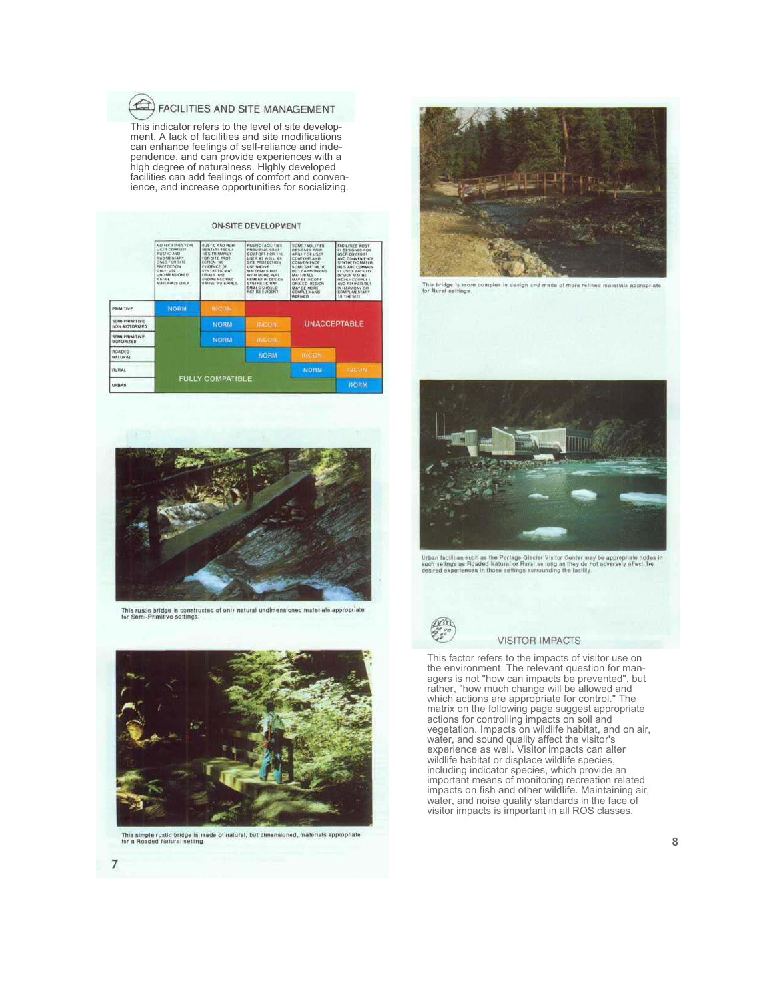## FACILITIES AND SITE MANAGEMENT

This indicator refers to the level of site development. A lack of facilities and site modifications can enhance feelings of self-reliance and independence, and can provide experiences with a high degree of naturalness. Highly developed facilities can add feelings of comfort and convenience, and increase opportunities for socializing.

|                                 | NO FACILITIES FOR<br>USER COMTORS<br><b>BUSIC AND</b><br><b><i>INJOINE NAMEY</i></b><br>ONES FOR SITE<br>PROTECTION<br>ONLY USE<br>LINGTHME NISKONETS<br><b>TAATIVE</b><br>MATERIAL'S ONLY | <b>BUSTIC AND RUDI</b><br><b>MENTARY FACILI</b><br><b>TIES PRIMARKY</b><br>FOR SITE PROT<br><b>ECTION NO</b><br>EVIDENCE OF<br>SHATHETH' MAY<br><b>CHIALS USE</b><br><b>UNDIAN NUCKED</b><br>NATIVE MATERIALS | <b><i><u>NUSTIC FACILITIES</u></i></b><br><b><i>PROVIDING SOME</i></b><br>COMFORT FOR THE<br>USER AS WELL AS<br>SITE PROTECTION<br>USE NATIVE<br>MATERIALS BUT<br>WITH MORE RELL<br>NEMENT IN DESIGN<br><b>SYNTHETIC MAY</b><br><b>ERIAL G SHOULD</b><br>NOT BE EVIDENT<br><b>CONTRACTOR</b> | SOME FACILITIES<br><b>OESIGNED PRIM</b><br>ARILY FOR USER<br>COMFORT AND<br>CONVENIENCE<br>SCHIE SYNTHETIC<br><b>BUT HARMONDUS</b><br>MALERIAL'S<br>MAY BE INCIDEN<br>ORATED DESIGN<br>MAY BE MOVIE<br><b>COMPLEX AND</b><br><b>WESTING</b> IS | FACILITIES MOST<br>LY DESIGNED FOR<br>USER CONFIDER<br>AND CONVENIENCE<br><b>SYNTHETIC MATER</b><br>(A) S ARE COMMON<br>LY USED FACILITY<br>DESILN MAY BE<br><b>NICHLY COMPLET</b><br>AND REFINED BUT<br>IN HARMONY OR<br><b>COMPLIMENTARY</b><br><b>121-THE-SITE</b> |
|---------------------------------|--------------------------------------------------------------------------------------------------------------------------------------------------------------------------------------------|---------------------------------------------------------------------------------------------------------------------------------------------------------------------------------------------------------------|----------------------------------------------------------------------------------------------------------------------------------------------------------------------------------------------------------------------------------------------------------------------------------------------|------------------------------------------------------------------------------------------------------------------------------------------------------------------------------------------------------------------------------------------------|-----------------------------------------------------------------------------------------------------------------------------------------------------------------------------------------------------------------------------------------------------------------------|
| PRIMITIVE                       | <b>NORM</b>                                                                                                                                                                                | <b>INCON</b>                                                                                                                                                                                                  |                                                                                                                                                                                                                                                                                              |                                                                                                                                                                                                                                                |                                                                                                                                                                                                                                                                       |
| SEMI-PRIMITIVE<br>NON-MOTORIZED |                                                                                                                                                                                            | NORM                                                                                                                                                                                                          | <b>INCON</b>                                                                                                                                                                                                                                                                                 | <b>UNACCEPTABLE</b>                                                                                                                                                                                                                            |                                                                                                                                                                                                                                                                       |
| SEMI-PRIMITIVE<br>MOTORIZED     |                                                                                                                                                                                            | NORM                                                                                                                                                                                                          | <b>INCON</b>                                                                                                                                                                                                                                                                                 |                                                                                                                                                                                                                                                |                                                                                                                                                                                                                                                                       |
| ROADED<br>NATURAL               |                                                                                                                                                                                            |                                                                                                                                                                                                               | <b>NORM</b>                                                                                                                                                                                                                                                                                  | <b>INCEM</b>                                                                                                                                                                                                                                   |                                                                                                                                                                                                                                                                       |
| RUBAL                           |                                                                                                                                                                                            |                                                                                                                                                                                                               |                                                                                                                                                                                                                                                                                              | <b>NORM</b>                                                                                                                                                                                                                                    | INCON.                                                                                                                                                                                                                                                                |
| <b>LINHAM</b>                   | <b>FULLY COMPATIBLE</b>                                                                                                                                                                    |                                                                                                                                                                                                               |                                                                                                                                                                                                                                                                                              |                                                                                                                                                                                                                                                | <b>NORM</b>                                                                                                                                                                                                                                                           |



This rustic bridge is constructed of only natural undimensioned materials appropriate<br>for Semi-Primitive settings.



This simple rustic bridge is made of natural, but dimensioned, materials appropriate<br>for a Roaded Natural setting



This bridge is more complex in design and made of more refined materials appropriate<br>for Rural settings.



Urban facilities such as the Portage Glacier Visitor Center may be appropriate nodes in<br>such settings as Roaded Natural of Rural as long as they do not adversely affect the<br>desired experiences in those settings surrounding



#### **VISITOR IMPACTS**

This factor refers to the impacts of visitor use on the environment. The relevant question for managers is not "how can impacts be prevented", but rather, "how much change will be allowed and which actions are appropriate for control." The matrix on the following page suggest appropriate actions for controlling impacts on soil and vegetation. Impacts on wildlife habitat, and on air, water, and sound quality affect the visitor's experience as well. Visitor impacts can alter wildlife habitat or displace wildlife species, including indicator species, which provide an important means of monitoring recreation related impacts on fish and other wildlife. Maintaining air, water, and noise quality standards in the face of visitor impacts is important in all ROS classes.